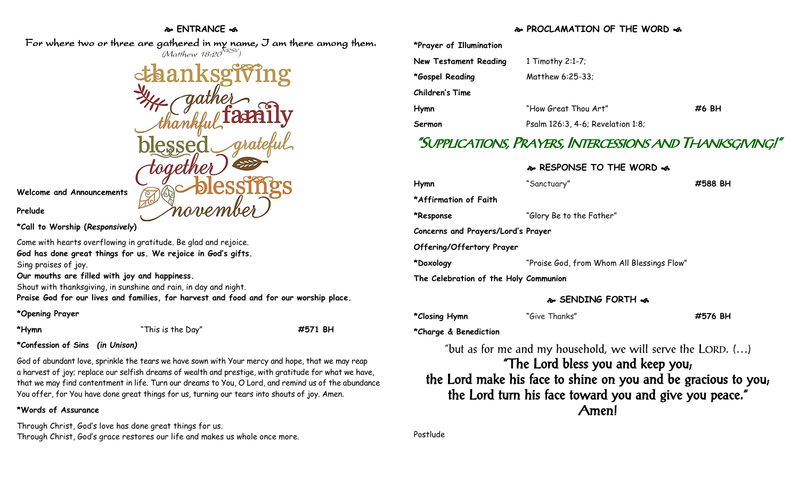#### **ENTRANCE**

For where two or three are gathered in my name, I am there among them.  $(M$ atthew 18:20 $^{NRSV})$ 

**Welcome and Announcements**

**Prelude**

**\*Call to Worship (***Responsively***)** 

Come with hearts overflowing in gratitude. Be glad and rejoice. **God has done great things for us. We rejoice in God's gifts.** Sing praises of joy.

**Our mouths are filled with joy and happiness.**

Shout with thanksgiving, in sunshine and rain, in day and night.

**Praise God for our lives and families, for harvest and food and for our worship place.**

**\*Opening Prayer**

**\*Hymn** "This is the Day" **#571 BH**

**\*Confession of Sins** *(in Unison)*

God of abundant love, sprinkle the tears we have sown with Your mercy and hope, that we may reap a harvest of joy; replace our selfish dreams of wealth and prestige, with gratitude for what we have, that we may find contentment in life. Turn our dreams to You, O Lord, and remind us of the abundance You offer, for You have done great things for us, turning our tears into shouts of joy. Amen.

#### **\*Words of Assurance**

Through Christ, God's love has done great things for us. Through Christ, God's grace restores our life and makes us whole once more.

### **PROCLAMATION OF THE WORD**

| *Prayer of Illumination |                                   |       |
|-------------------------|-----------------------------------|-------|
| New Testament Reading   | 1 Timothy $2:1-7$ ;               |       |
| *Gospel Reading         | Matthew 6:25-33;                  |       |
| Children's Time         |                                   |       |
| Hymn                    | "How Great Thou Art"              | #6 BH |
| Sermon                  | Psalm 126:3, 4-6; Revelation 1:8; |       |

# "SUPPLICATIONS, PRAYERS, INTERCESSIONS AND THANKSGIVING!"

### **RESPONSE TO THE WORD on**

| Hymn                                  | "Sanctuary"                                | #588 BH |
|---------------------------------------|--------------------------------------------|---------|
| *Affirmation of Faith                 |                                            |         |
| *Response                             | "Glory Be to the Father"                   |         |
| Concerns and Prayers/Lord's Prayer    |                                            |         |
| Offering/Offertory Prayer             |                                            |         |
| *Doxology                             | "Praise God, from Whom All Blessings Flow" |         |
| The Celebration of the Holy Communion |                                            |         |

### **SENDING FORTH**

**\*Closing Hymn** "Give Thanks" **#576 BH**

**\*Charge & Benediction**

"but as for me and my household, we will serve the LORD. (…)

## "The Lord bless you and keep you; the Lord make his face to shine on you and be gracious to you; the Lord turn his face toward you and give you peace." Amen!

Postlude